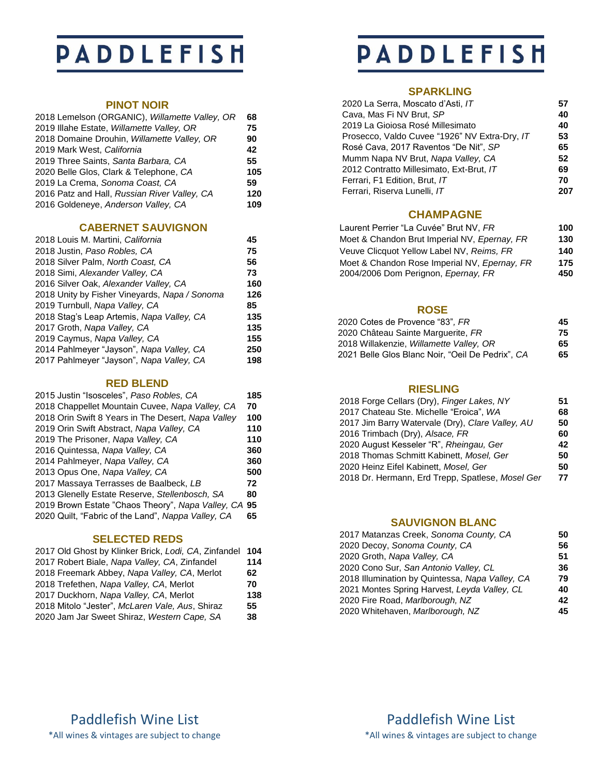## **PADDLEFISH**

#### **PINOT NOIR**

| 2018 Lemelson (ORGANIC), Willamette Valley, OR | 68  |
|------------------------------------------------|-----|
| 2019 Illahe Estate, Willamette Valley, OR      | 75  |
| 2018 Domaine Drouhin, Willamette Valley, OR    | 90  |
| 2019 Mark West, California                     | 42  |
| 2019 Three Saints, Santa Barbara, CA           | 55  |
| 2020 Belle Glos, Clark & Telephone, CA         | 105 |
| 2019 La Crema, Sonoma Coast, CA                | 59  |
| 2016 Patz and Hall, Russian River Valley, CA   | 120 |
| 2016 Goldeneye, Anderson Valley, CA            | 109 |
|                                                |     |

#### **CABERNET SAUVIGNON**

| 2018 Louis M. Martini, California             | 45  |
|-----------------------------------------------|-----|
| 2018 Justin, Paso Robles, CA                  | 75  |
| 2018 Silver Palm, North Coast, CA             | 56  |
| 2018 Simi, Alexander Valley, CA               | 73  |
| 2016 Silver Oak, Alexander Valley, CA         | 160 |
| 2018 Unity by Fisher Vineyards, Napa / Sonoma | 126 |
| 2019 Turnbull, Napa Valley, CA                | 85  |
| 2018 Stag's Leap Artemis, Napa Valley, CA     | 135 |
| 2017 Groth, Napa Valley, CA                   | 135 |
| 2019 Caymus, Napa Valley, CA                  | 155 |
| 2014 Pahlmeyer "Jayson", Napa Valley, CA      | 250 |
| 2017 Pahlmeyer "Jayson", Napa Valley, CA      | 198 |
|                                               |     |

## **RED BLEND**

| 2015 Justin "Isosceles", Paso Robles, CA             | 185 |
|------------------------------------------------------|-----|
| 2018 Chappellet Mountain Cuvee, Napa Valley, CA      | 70  |
| 2018 Orin Swift 8 Years in The Desert, Napa Valley   | 100 |
| 2019 Orin Swift Abstract, Napa Valley, CA            | 110 |
| 2019 The Prisoner, Napa Valley, CA                   | 110 |
| 2016 Quintessa, Napa Valley, CA                      | 360 |
| 2014 Pahlmeyer, Napa Valley, CA                      | 360 |
| 2013 Opus One, Napa Valley, CA                       | 500 |
| 2017 Massaya Terrasses de Baalbeck, LB               | 72  |
| 2013 Glenelly Estate Reserve, Stellenbosch, SA       | 80  |
| 2019 Brown Estate "Chaos Theory", Napa Valley, CA 95 |     |
| 2020 Quilt, "Fabric of the Land", Nappa Valley, CA   | 65  |

### **SELECTED REDS**

| 2017 Old Ghost by Klinker Brick, Lodi, CA, Zinfandel | 104 |
|------------------------------------------------------|-----|
| 2017 Robert Biale, Napa Valley, CA, Zinfandel        | 114 |
| 2018 Freemark Abbey, Napa Valley, CA, Merlot         | 62  |
| 2018 Trefethen, Napa Valley, CA, Merlot              | 70  |
| 2017 Duckhorn, Napa Valley, CA, Merlot               | 138 |
| 2018 Mitolo "Jester", McLaren Vale, Aus, Shiraz      | 55  |
| 2020 Jam Jar Sweet Shiraz, Western Cape, SA          | 38  |

## **PADDLEFISH**

## **SPARKLING**

| 2020 La Serra, Moscato d'Asti, IT             | 57 |
|-----------------------------------------------|----|
| Cava, Mas Fi NV Brut, SP                      | 40 |
| 2019 La Gioiosa Rosé Millesimato              | 40 |
| Prosecco, Valdo Cuvee "1926" NV Extra-Dry, IT | 53 |
| Rosé Cava, 2017 Raventos "De Nit", SP         | 65 |
| Mumm Napa NV Brut, Napa Valley, CA            | 52 |
| 2012 Contratto Millesimato, Ext-Brut, IT      | 69 |
| Ferrari, F1 Edition, Brut, IT                 | 70 |
| Ferrari, Riserva Lunelli, IT                  |    |

### **CHAMPAGNE**

| Laurent Perrier "La Cuvée" Brut NV. FR       | 100 |
|----------------------------------------------|-----|
| Moet & Chandon Brut Imperial NV, Epernay, FR | 130 |
| Veuve Clicquot Yellow Label NV, Reims, FR    | 140 |
| Moet & Chandon Rose Imperial NV, Epernay, FR | 175 |
| 2004/2006 Dom Perignon, Epernay, FR          | 450 |

#### **ROSE**

| 45 |
|----|
| 75 |
| 65 |
| 65 |
|    |

### **RIESLING**

| 2018 Forge Cellars (Dry), Finger Lakes, NY       | 51 |
|--------------------------------------------------|----|
| 2017 Chateau Ste. Michelle "Eroica", WA          | 68 |
| 2017 Jim Barry Watervale (Dry), Clare Valley, AU | 50 |
| 2016 Trimbach (Dry), Alsace, FR                  | 60 |
| 2020 August Kesseler "R", Rheingau, Ger          | 42 |
| 2018 Thomas Schmitt Kabinett, Mosel, Ger         | 50 |
| 2020 Heinz Eifel Kabinett, Mosel, Ger            | 50 |
| 2018 Dr. Hermann, Erd Trepp, Spatlese, Mosel Ger | 77 |

### **SAUVIGNON BLANC**

| 2017 Matanzas Creek, Sonoma County, CA          | 50 |
|-------------------------------------------------|----|
| 2020 Decoy, Sonoma County, CA                   | 56 |
| 2020 Groth, Napa Valley, CA                     | 51 |
| 2020 Cono Sur, San Antonio Valley, CL           | 36 |
| 2018 Illumination by Quintessa, Napa Valley, CA | 79 |
| 2021 Montes Spring Harvest, Leyda Valley, CL    | 40 |
| 2020 Fire Road, Marlborough, NZ                 | 42 |
| 2020 Whitehaven, Marlborough, NZ                | 45 |
|                                                 |    |